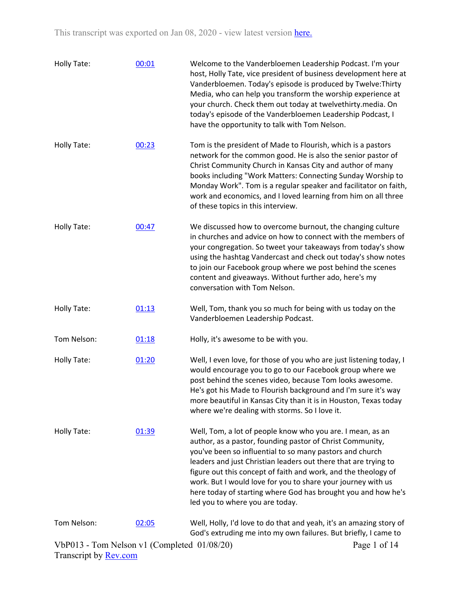| <b>Holly Tate:</b> | 00:01 | Welcome to the Vanderbloemen Leadership Podcast. I'm your<br>host, Holly Tate, vice president of business development here at<br>Vanderbloemen. Today's episode is produced by Twelve: Thirty<br>Media, who can help you transform the worship experience at<br>your church. Check them out today at twelvethirty.media. On<br>today's episode of the Vanderbloemen Leadership Podcast, I<br>have the opportunity to talk with Tom Nelson.                                                   |
|--------------------|-------|----------------------------------------------------------------------------------------------------------------------------------------------------------------------------------------------------------------------------------------------------------------------------------------------------------------------------------------------------------------------------------------------------------------------------------------------------------------------------------------------|
| <b>Holly Tate:</b> | 00:23 | Tom is the president of Made to Flourish, which is a pastors<br>network for the common good. He is also the senior pastor of<br>Christ Community Church in Kansas City and author of many<br>books including "Work Matters: Connecting Sunday Worship to<br>Monday Work". Tom is a regular speaker and facilitator on faith,<br>work and economics, and I loved learning from him on all three<br>of these topics in this interview.                                                         |
| Holly Tate:        | 00:47 | We discussed how to overcome burnout, the changing culture<br>in churches and advice on how to connect with the members of<br>your congregation. So tweet your takeaways from today's show<br>using the hashtag Vandercast and check out today's show notes<br>to join our Facebook group where we post behind the scenes<br>content and giveaways. Without further ado, here's my<br>conversation with Tom Nelson.                                                                          |
| Holly Tate:        | 01:13 | Well, Tom, thank you so much for being with us today on the<br>Vanderbloemen Leadership Podcast.                                                                                                                                                                                                                                                                                                                                                                                             |
| Tom Nelson:        | 01:18 | Holly, it's awesome to be with you.                                                                                                                                                                                                                                                                                                                                                                                                                                                          |
| Holly Tate:        | 01:20 | Well, I even love, for those of you who are just listening today, I<br>would encourage you to go to our Facebook group where we<br>post behind the scenes video, because Tom looks awesome.<br>He's got his Made to Flourish background and I'm sure it's way<br>more beautiful in Kansas City than it is in Houston, Texas today<br>where we're dealing with storms. So I love it.                                                                                                          |
| Holly Tate:        | 01:39 | Well, Tom, a lot of people know who you are. I mean, as an<br>author, as a pastor, founding pastor of Christ Community,<br>you've been so influential to so many pastors and church<br>leaders and just Christian leaders out there that are trying to<br>figure out this concept of faith and work, and the theology of<br>work. But I would love for you to share your journey with us<br>here today of starting where God has brought you and how he's<br>led you to where you are today. |
| Tom Nelson:        | 02:05 | Well, Holly, I'd love to do that and yeah, it's an amazing story of<br>God's extruding me into my own failures. But briefly, I came to                                                                                                                                                                                                                                                                                                                                                       |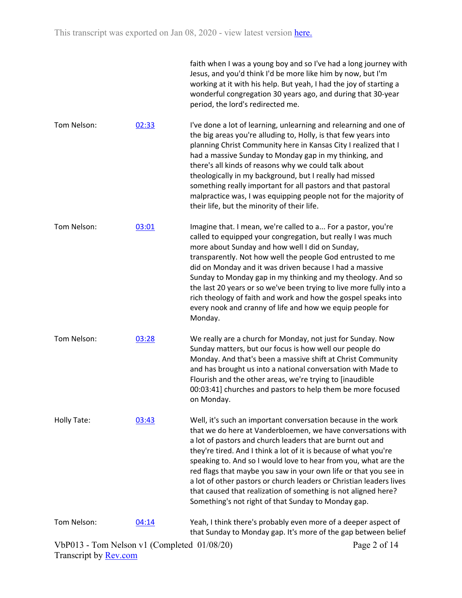|             |       | faith when I was a young boy and so I've had a long journey with<br>Jesus, and you'd think I'd be more like him by now, but I'm<br>working at it with his help. But yeah, I had the joy of starting a<br>wonderful congregation 30 years ago, and during that 30-year<br>period, the lord's redirected me.                                                                                                                                                                                                                                                                                             |
|-------------|-------|--------------------------------------------------------------------------------------------------------------------------------------------------------------------------------------------------------------------------------------------------------------------------------------------------------------------------------------------------------------------------------------------------------------------------------------------------------------------------------------------------------------------------------------------------------------------------------------------------------|
| Tom Nelson: | 02:33 | I've done a lot of learning, unlearning and relearning and one of<br>the big areas you're alluding to, Holly, is that few years into<br>planning Christ Community here in Kansas City I realized that I<br>had a massive Sunday to Monday gap in my thinking, and<br>there's all kinds of reasons why we could talk about<br>theologically in my background, but I really had missed<br>something really important for all pastors and that pastoral<br>malpractice was, I was equipping people not for the majority of<br>their life, but the minority of their life.                                 |
| Tom Nelson: | 03:01 | Imagine that. I mean, we're called to a For a pastor, you're<br>called to equipped your congregation, but really I was much<br>more about Sunday and how well I did on Sunday,<br>transparently. Not how well the people God entrusted to me<br>did on Monday and it was driven because I had a massive<br>Sunday to Monday gap in my thinking and my theology. And so<br>the last 20 years or so we've been trying to live more fully into a<br>rich theology of faith and work and how the gospel speaks into<br>every nook and cranny of life and how we equip people for<br>Monday.                |
| Tom Nelson: | 03:28 | We really are a church for Monday, not just for Sunday. Now<br>Sunday matters, but our focus is how well our people do<br>Monday. And that's been a massive shift at Christ Community<br>and has brought us into a national conversation with Made to<br>Flourish and the other areas, we're trying to [inaudible<br>00:03:41] churches and pastors to help them be more focused<br>on Monday.                                                                                                                                                                                                         |
| Holly Tate: | 03:43 | Well, it's such an important conversation because in the work<br>that we do here at Vanderbloemen, we have conversations with<br>a lot of pastors and church leaders that are burnt out and<br>they're tired. And I think a lot of it is because of what you're<br>speaking to. And so I would love to hear from you, what are the<br>red flags that maybe you saw in your own life or that you see in<br>a lot of other pastors or church leaders or Christian leaders lives<br>that caused that realization of something is not aligned here?<br>Something's not right of that Sunday to Monday gap. |
| Tom Nelson: | 04:14 | Yeah, I think there's probably even more of a deeper aspect of<br>that Sunday to Monday gap. It's more of the gap between belief                                                                                                                                                                                                                                                                                                                                                                                                                                                                       |
|             |       | 01/00/20                                                                                                                                                                                                                                                                                                                                                                                                                                                                                                                                                                                               |

Page 2 of 14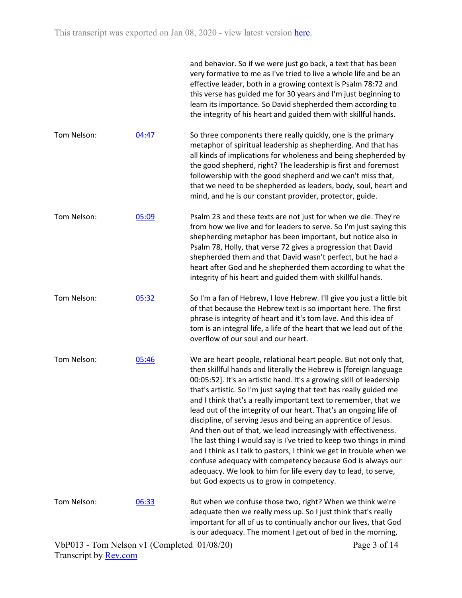|             |       | and behavior. So if we were just go back, a text that has been<br>very formative to me as I've tried to live a whole life and be an<br>effective leader, both in a growing context is Psalm 78:72 and<br>this verse has guided me for 30 years and I'm just beginning to<br>learn its importance. So David shepherded them according to<br>the integrity of his heart and guided them with skillful hands.                                                                                                                                                                                                                                                                                                                                                                                                                                                                                 |
|-------------|-------|--------------------------------------------------------------------------------------------------------------------------------------------------------------------------------------------------------------------------------------------------------------------------------------------------------------------------------------------------------------------------------------------------------------------------------------------------------------------------------------------------------------------------------------------------------------------------------------------------------------------------------------------------------------------------------------------------------------------------------------------------------------------------------------------------------------------------------------------------------------------------------------------|
| Tom Nelson: | 04:47 | So three components there really quickly, one is the primary<br>metaphor of spiritual leadership as shepherding. And that has<br>all kinds of implications for wholeness and being shepherded by<br>the good shepherd, right? The leadership is first and foremost<br>followership with the good shepherd and we can't miss that,<br>that we need to be shepherded as leaders, body, soul, heart and<br>mind, and he is our constant provider, protector, guide.                                                                                                                                                                                                                                                                                                                                                                                                                           |
| Tom Nelson: | 05:09 | Psalm 23 and these texts are not just for when we die. They're<br>from how we live and for leaders to serve. So I'm just saying this<br>shepherding metaphor has been important, but notice also in<br>Psalm 78, Holly, that verse 72 gives a progression that David<br>shepherded them and that David wasn't perfect, but he had a<br>heart after God and he shepherded them according to what the<br>integrity of his heart and guided them with skillful hands.                                                                                                                                                                                                                                                                                                                                                                                                                         |
| Tom Nelson: | 05:32 | So I'm a fan of Hebrew, I love Hebrew. I'll give you just a little bit<br>of that because the Hebrew text is so important here. The first<br>phrase is integrity of heart and it's tom lave. And this idea of<br>tom is an integral life, a life of the heart that we lead out of the<br>overflow of our soul and our heart.                                                                                                                                                                                                                                                                                                                                                                                                                                                                                                                                                               |
| Tom Nelson: | 05:46 | We are heart people, relational heart people. But not only that,<br>then skillful hands and literally the Hebrew is [foreign language<br>00:05:52]. It's an artistic hand. It's a growing skill of leadership<br>that's artistic. So I'm just saying that text has really guided me<br>and I think that's a really important text to remember, that we<br>lead out of the integrity of our heart. That's an ongoing life of<br>discipline, of serving Jesus and being an apprentice of Jesus.<br>And then out of that, we lead increasingly with effectiveness.<br>The last thing I would say is I've tried to keep two things in mind<br>and I think as I talk to pastors, I think we get in trouble when we<br>confuse adequacy with competency because God is always our<br>adequacy. We look to him for life every day to lead, to serve,<br>but God expects us to grow in competency. |
| Tom Nelson: | 06:33 | But when we confuse those two, right? When we think we're<br>adequate then we really mess up. So I just think that's really<br>important for all of us to continually anchor our lives, that God<br>is our adequacy. The moment I get out of bed in the morning,                                                                                                                                                                                                                                                                                                                                                                                                                                                                                                                                                                                                                           |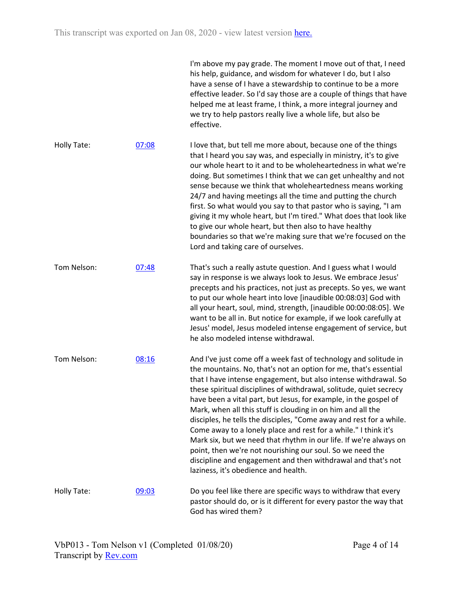|             |       | I'm above my pay grade. The moment I move out of that, I need<br>his help, guidance, and wisdom for whatever I do, but I also<br>have a sense of I have a stewardship to continue to be a more<br>effective leader. So I'd say those are a couple of things that have<br>helped me at least frame, I think, a more integral journey and<br>we try to help pastors really live a whole life, but also be<br>effective.                                                                                                                                                                                                                                                                                                                                                                                |
|-------------|-------|------------------------------------------------------------------------------------------------------------------------------------------------------------------------------------------------------------------------------------------------------------------------------------------------------------------------------------------------------------------------------------------------------------------------------------------------------------------------------------------------------------------------------------------------------------------------------------------------------------------------------------------------------------------------------------------------------------------------------------------------------------------------------------------------------|
| Holly Tate: | 07:08 | I love that, but tell me more about, because one of the things<br>that I heard you say was, and especially in ministry, it's to give<br>our whole heart to it and to be wholeheartedness in what we're<br>doing. But sometimes I think that we can get unhealthy and not<br>sense because we think that wholeheartedness means working<br>24/7 and having meetings all the time and putting the church<br>first. So what would you say to that pastor who is saying, "I am<br>giving it my whole heart, but I'm tired." What does that look like<br>to give our whole heart, but then also to have healthy<br>boundaries so that we're making sure that we're focused on the<br>Lord and taking care of ourselves.                                                                                   |
| Tom Nelson: | 07:48 | That's such a really astute question. And I guess what I would<br>say in response is we always look to Jesus. We embrace Jesus'<br>precepts and his practices, not just as precepts. So yes, we want<br>to put our whole heart into love [inaudible 00:08:03] God with<br>all your heart, soul, mind, strength, [inaudible 00:00:08:05]. We<br>want to be all in. But notice for example, if we look carefully at<br>Jesus' model, Jesus modeled intense engagement of service, but<br>he also modeled intense withdrawal.                                                                                                                                                                                                                                                                           |
| Tom Nelson: | 08:16 | And I've just come off a week fast of technology and solitude in<br>the mountains. No, that's not an option for me, that's essential<br>that I have intense engagement, but also intense withdrawal. So<br>these spiritual disciplines of withdrawal, solitude, quiet secrecy<br>have been a vital part, but Jesus, for example, in the gospel of<br>Mark, when all this stuff is clouding in on him and all the<br>disciples, he tells the disciples, "Come away and rest for a while.<br>Come away to a lonely place and rest for a while." I think it's<br>Mark six, but we need that rhythm in our life. If we're always on<br>point, then we're not nourishing our soul. So we need the<br>discipline and engagement and then withdrawal and that's not<br>laziness, it's obedience and health. |
| Holly Tate: | 09:03 | Do you feel like there are specific ways to withdraw that every<br>pastor should do, or is it different for every pastor the way that<br>God has wired them?                                                                                                                                                                                                                                                                                                                                                                                                                                                                                                                                                                                                                                         |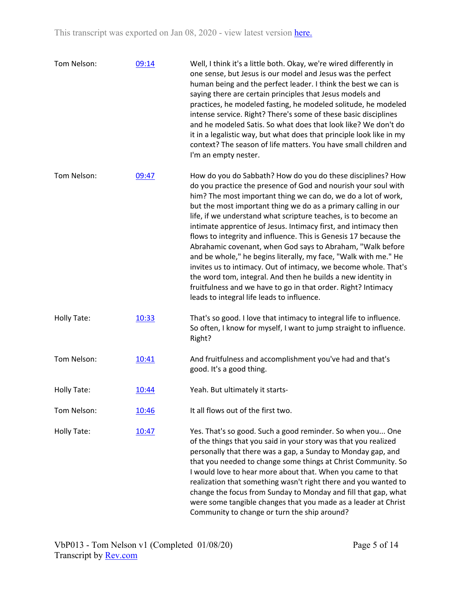| Tom Nelson: | 09:14 | Well, I think it's a little both. Okay, we're wired differently in<br>one sense, but Jesus is our model and Jesus was the perfect<br>human being and the perfect leader. I think the best we can is<br>saying there are certain principles that Jesus models and<br>practices, he modeled fasting, he modeled solitude, he modeled<br>intense service. Right? There's some of these basic disciplines<br>and he modeled Satis. So what does that look like? We don't do<br>it in a legalistic way, but what does that principle look like in my<br>context? The season of life matters. You have small children and<br>I'm an empty nester.                                                                                                                                                                                                                   |
|-------------|-------|---------------------------------------------------------------------------------------------------------------------------------------------------------------------------------------------------------------------------------------------------------------------------------------------------------------------------------------------------------------------------------------------------------------------------------------------------------------------------------------------------------------------------------------------------------------------------------------------------------------------------------------------------------------------------------------------------------------------------------------------------------------------------------------------------------------------------------------------------------------|
| Tom Nelson: | 09:47 | How do you do Sabbath? How do you do these disciplines? How<br>do you practice the presence of God and nourish your soul with<br>him? The most important thing we can do, we do a lot of work,<br>but the most important thing we do as a primary calling in our<br>life, if we understand what scripture teaches, is to become an<br>intimate apprentice of Jesus. Intimacy first, and intimacy then<br>flows to integrity and influence. This is Genesis 17 because the<br>Abrahamic covenant, when God says to Abraham, "Walk before<br>and be whole," he begins literally, my face, "Walk with me." He<br>invites us to intimacy. Out of intimacy, we become whole. That's<br>the word tom, integral. And then he builds a new identity in<br>fruitfulness and we have to go in that order. Right? Intimacy<br>leads to integral life leads to influence. |
| Holly Tate: | 10:33 | That's so good. I love that intimacy to integral life to influence.<br>So often, I know for myself, I want to jump straight to influence.<br>Right?                                                                                                                                                                                                                                                                                                                                                                                                                                                                                                                                                                                                                                                                                                           |
| Tom Nelson: | 10:41 | And fruitfulness and accomplishment you've had and that's<br>good. It's a good thing.                                                                                                                                                                                                                                                                                                                                                                                                                                                                                                                                                                                                                                                                                                                                                                         |
| Holly Tate: | 10:44 | Yeah. But ultimately it starts-                                                                                                                                                                                                                                                                                                                                                                                                                                                                                                                                                                                                                                                                                                                                                                                                                               |
| Tom Nelson: | 10:46 | It all flows out of the first two.                                                                                                                                                                                                                                                                                                                                                                                                                                                                                                                                                                                                                                                                                                                                                                                                                            |
| Holly Tate: | 10:47 | Yes. That's so good. Such a good reminder. So when you One<br>of the things that you said in your story was that you realized<br>personally that there was a gap, a Sunday to Monday gap, and<br>that you needed to change some things at Christ Community. So<br>I would love to hear more about that. When you came to that<br>realization that something wasn't right there and you wanted to<br>change the focus from Sunday to Monday and fill that gap, what<br>were some tangible changes that you made as a leader at Christ<br>Community to change or turn the ship around?                                                                                                                                                                                                                                                                          |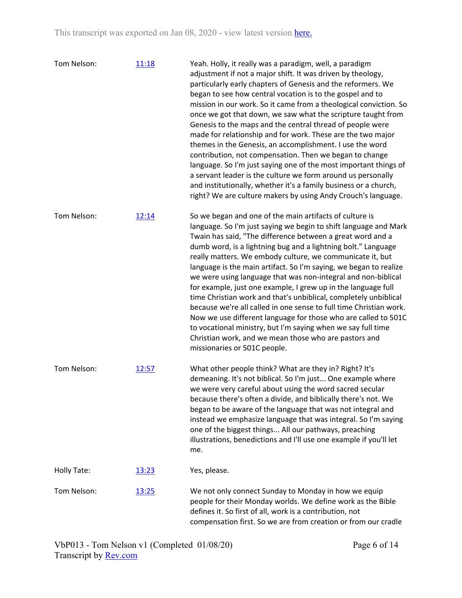| Tom Nelson: | 11:18 | Yeah. Holly, it really was a paradigm, well, a paradigm<br>adjustment if not a major shift. It was driven by theology,<br>particularly early chapters of Genesis and the reformers. We<br>began to see how central vocation is to the gospel and to<br>mission in our work. So it came from a theological conviction. So<br>once we got that down, we saw what the scripture taught from<br>Genesis to the maps and the central thread of people were<br>made for relationship and for work. These are the two major<br>themes in the Genesis, an accomplishment. I use the word<br>contribution, not compensation. Then we began to change<br>language. So I'm just saying one of the most important things of<br>a servant leader is the culture we form around us personally<br>and institutionally, whether it's a family business or a church,<br>right? We are culture makers by using Andy Crouch's language. |
|-------------|-------|----------------------------------------------------------------------------------------------------------------------------------------------------------------------------------------------------------------------------------------------------------------------------------------------------------------------------------------------------------------------------------------------------------------------------------------------------------------------------------------------------------------------------------------------------------------------------------------------------------------------------------------------------------------------------------------------------------------------------------------------------------------------------------------------------------------------------------------------------------------------------------------------------------------------|
| Tom Nelson: | 12:14 | So we began and one of the main artifacts of culture is<br>language. So I'm just saying we begin to shift language and Mark<br>Twain has said, "The difference between a great word and a<br>dumb word, is a lightning bug and a lightning bolt." Language<br>really matters. We embody culture, we communicate it, but<br>language is the main artifact. So I'm saying, we began to realize<br>we were using language that was non-integral and non-biblical<br>for example, just one example, I grew up in the language full<br>time Christian work and that's unbiblical, completely unbiblical<br>because we're all called in one sense to full time Christian work.<br>Now we use different language for those who are called to 501C<br>to vocational ministry, but I'm saying when we say full time<br>Christian work, and we mean those who are pastors and<br>missionaries or 501C people.                  |
| Tom Nelson: | 12:57 | What other people think? What are they in? Right? It's<br>demeaning. It's not biblical. So I'm just One example where<br>we were very careful about using the word sacred secular<br>because there's often a divide, and biblically there's not. We<br>began to be aware of the language that was not integral and<br>instead we emphasize language that was integral. So I'm saying<br>one of the biggest things All our pathways, preaching<br>illustrations, benedictions and I'll use one example if you'll let<br>me.                                                                                                                                                                                                                                                                                                                                                                                           |
| Holly Tate: | 13:23 | Yes, please.                                                                                                                                                                                                                                                                                                                                                                                                                                                                                                                                                                                                                                                                                                                                                                                                                                                                                                         |
| Tom Nelson: | 13:25 | We not only connect Sunday to Monday in how we equip<br>people for their Monday worlds. We define work as the Bible<br>defines it. So first of all, work is a contribution, not<br>compensation first. So we are from creation or from our cradle                                                                                                                                                                                                                                                                                                                                                                                                                                                                                                                                                                                                                                                                    |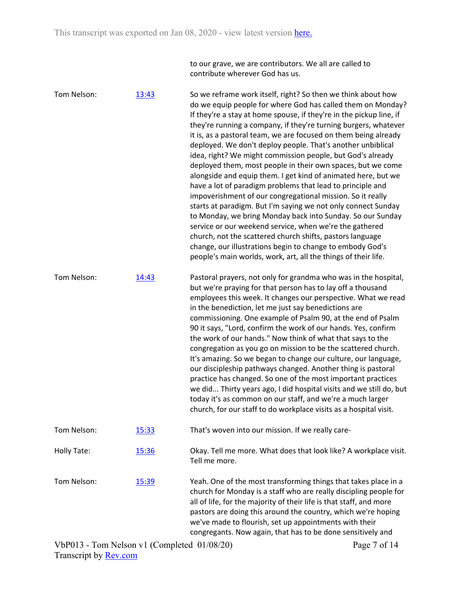to our grave, we are contributors. We all are called to contribute wherever God has us.

| Tom Nelson: | 13:43 | So we reframe work itself, right? So then we think about how<br>do we equip people for where God has called them on Monday?<br>If they're a stay at home spouse, if they're in the pickup line, if<br>they're running a company, if they're turning burgers, whatever<br>it is, as a pastoral team, we are focused on them being already<br>deployed. We don't deploy people. That's another unbiblical<br>idea, right? We might commission people, but God's already<br>deployed them, most people in their own spaces, but we come<br>alongside and equip them. I get kind of animated here, but we<br>have a lot of paradigm problems that lead to principle and<br>impoverishment of our congregational mission. So it really<br>starts at paradigm. But I'm saying we not only connect Sunday<br>to Monday, we bring Monday back into Sunday. So our Sunday<br>service or our weekend service, when we're the gathered<br>church, not the scattered church shifts, pastors language<br>change, our illustrations begin to change to embody God's<br>people's main worlds, work, art, all the things of their life. |
|-------------|-------|-------------------------------------------------------------------------------------------------------------------------------------------------------------------------------------------------------------------------------------------------------------------------------------------------------------------------------------------------------------------------------------------------------------------------------------------------------------------------------------------------------------------------------------------------------------------------------------------------------------------------------------------------------------------------------------------------------------------------------------------------------------------------------------------------------------------------------------------------------------------------------------------------------------------------------------------------------------------------------------------------------------------------------------------------------------------------------------------------------------------------|
| Tom Nelson: | 14:43 | Pastoral prayers, not only for grandma who was in the hospital,<br>but we're praying for that person has to lay off a thousand<br>employees this week. It changes our perspective. What we read<br>in the benediction, let me just say benedictions are<br>commissioning. One example of Psalm 90, at the end of Psalm<br>90 it says, "Lord, confirm the work of our hands. Yes, confirm<br>the work of our hands." Now think of what that says to the<br>congregation as you go on mission to be the scattered church.<br>It's amazing. So we began to change our culture, our language,<br>our discipleship pathways changed. Another thing is pastoral<br>practice has changed. So one of the most important practices<br>we did Thirty years ago, I did hospital visits and we still do, but<br>today it's as common on our staff, and we're a much larger<br>church, for our staff to do workplace visits as a hospital visit.                                                                                                                                                                                     |
| Tom Nelson: | 15:33 | That's woven into our mission. If we really care-                                                                                                                                                                                                                                                                                                                                                                                                                                                                                                                                                                                                                                                                                                                                                                                                                                                                                                                                                                                                                                                                       |
| Holly Tate: | 15:36 | Okay. Tell me more. What does that look like? A workplace visit.<br>Tell me more.                                                                                                                                                                                                                                                                                                                                                                                                                                                                                                                                                                                                                                                                                                                                                                                                                                                                                                                                                                                                                                       |
| Tom Nelson: | 15:39 | Yeah. One of the most transforming things that takes place in a<br>church for Monday is a staff who are really discipling people for<br>all of life, for the majority of their life is that staff, and more<br>pastors are doing this around the country, which we're hoping<br>we've made to flourish, set up appointments with their<br>congregants. Now again, that has to be done sensitively and                                                                                                                                                                                                                                                                                                                                                                                                                                                                                                                                                                                                                                                                                                                   |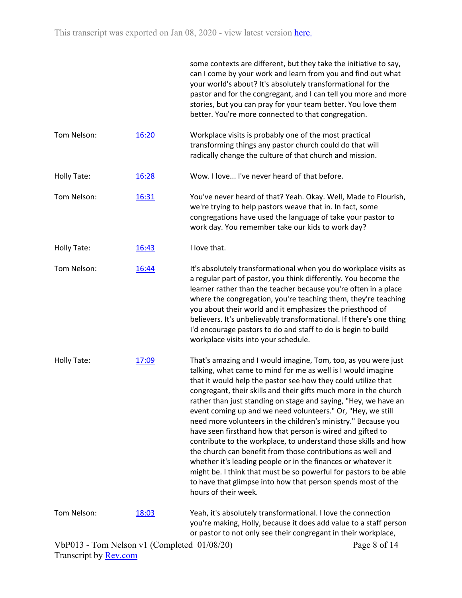|                    |       | some contexts are different, but they take the initiative to say,<br>can I come by your work and learn from you and find out what<br>your world's about? It's absolutely transformational for the<br>pastor and for the congregant, and I can tell you more and more<br>stories, but you can pray for your team better. You love them<br>better. You're more connected to that congregation.                                                                                                                                                                                                                                                                                                                                                                                                                                                                                                         |
|--------------------|-------|------------------------------------------------------------------------------------------------------------------------------------------------------------------------------------------------------------------------------------------------------------------------------------------------------------------------------------------------------------------------------------------------------------------------------------------------------------------------------------------------------------------------------------------------------------------------------------------------------------------------------------------------------------------------------------------------------------------------------------------------------------------------------------------------------------------------------------------------------------------------------------------------------|
| Tom Nelson:        | 16:20 | Workplace visits is probably one of the most practical<br>transforming things any pastor church could do that will<br>radically change the culture of that church and mission.                                                                                                                                                                                                                                                                                                                                                                                                                                                                                                                                                                                                                                                                                                                       |
| Holly Tate:        | 16:28 | Wow. I love I've never heard of that before.                                                                                                                                                                                                                                                                                                                                                                                                                                                                                                                                                                                                                                                                                                                                                                                                                                                         |
| Tom Nelson:        | 16:31 | You've never heard of that? Yeah. Okay. Well, Made to Flourish,<br>we're trying to help pastors weave that in. In fact, some<br>congregations have used the language of take your pastor to<br>work day. You remember take our kids to work day?                                                                                                                                                                                                                                                                                                                                                                                                                                                                                                                                                                                                                                                     |
| Holly Tate:        | 16:43 | I love that.                                                                                                                                                                                                                                                                                                                                                                                                                                                                                                                                                                                                                                                                                                                                                                                                                                                                                         |
| Tom Nelson:        | 16:44 | It's absolutely transformational when you do workplace visits as<br>a regular part of pastor, you think differently. You become the<br>learner rather than the teacher because you're often in a place<br>where the congregation, you're teaching them, they're teaching<br>you about their world and it emphasizes the priesthood of<br>believers. It's unbelievably transformational. If there's one thing<br>I'd encourage pastors to do and staff to do is begin to build<br>workplace visits into your schedule.                                                                                                                                                                                                                                                                                                                                                                                |
| <b>Holly Tate:</b> | 17:09 | That's amazing and I would imagine, Tom, too, as you were just<br>talking, what came to mind for me as well is I would imagine<br>that it would help the pastor see how they could utilize that<br>congregant, their skills and their gifts much more in the church<br>rather than just standing on stage and saying, "Hey, we have an<br>event coming up and we need volunteers." Or, "Hey, we still<br>need more volunteers in the children's ministry." Because you<br>have seen firsthand how that person is wired and gifted to<br>contribute to the workplace, to understand those skills and how<br>the church can benefit from those contributions as well and<br>whether it's leading people or in the finances or whatever it<br>might be. I think that must be so powerful for pastors to be able<br>to have that glimpse into how that person spends most of the<br>hours of their week. |
| Tom Nelson:        | 18:03 | Yeah, it's absolutely transformational. I love the connection<br>you're making, Holly, because it does add value to a staff person<br>or pastor to not only see their congregant in their workplace,                                                                                                                                                                                                                                                                                                                                                                                                                                                                                                                                                                                                                                                                                                 |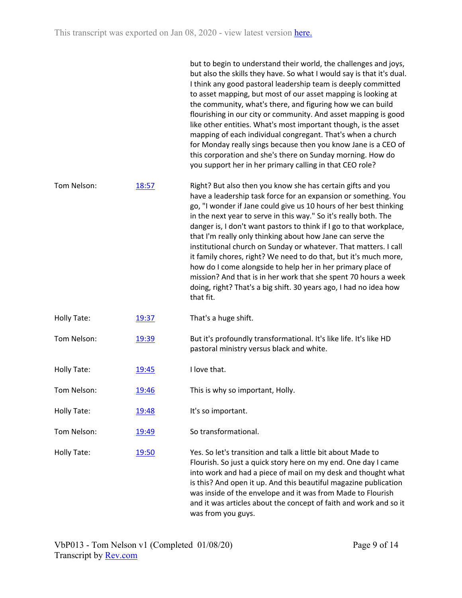|             |       | but to begin to understand their world, the challenges and joys,<br>but also the skills they have. So what I would say is that it's dual.<br>I think any good pastoral leadership team is deeply committed<br>to asset mapping, but most of our asset mapping is looking at<br>the community, what's there, and figuring how we can build<br>flourishing in our city or community. And asset mapping is good<br>like other entities. What's most important though, is the asset<br>mapping of each individual congregant. That's when a church<br>for Monday really sings because then you know Jane is a CEO of<br>this corporation and she's there on Sunday morning. How do<br>you support her in her primary calling in that CEO role?                               |
|-------------|-------|--------------------------------------------------------------------------------------------------------------------------------------------------------------------------------------------------------------------------------------------------------------------------------------------------------------------------------------------------------------------------------------------------------------------------------------------------------------------------------------------------------------------------------------------------------------------------------------------------------------------------------------------------------------------------------------------------------------------------------------------------------------------------|
| Tom Nelson: | 18:57 | Right? But also then you know she has certain gifts and you<br>have a leadership task force for an expansion or something. You<br>go, "I wonder if Jane could give us 10 hours of her best thinking<br>in the next year to serve in this way." So it's really both. The<br>danger is, I don't want pastors to think if I go to that workplace,<br>that I'm really only thinking about how Jane can serve the<br>institutional church on Sunday or whatever. That matters. I call<br>it family chores, right? We need to do that, but it's much more,<br>how do I come alongside to help her in her primary place of<br>mission? And that is in her work that she spent 70 hours a week<br>doing, right? That's a big shift. 30 years ago, I had no idea how<br>that fit. |
| Holly Tate: | 19:37 | That's a huge shift.                                                                                                                                                                                                                                                                                                                                                                                                                                                                                                                                                                                                                                                                                                                                                     |
| Tom Nelson: | 19:39 | But it's profoundly transformational. It's like life. It's like HD<br>pastoral ministry versus black and white.                                                                                                                                                                                                                                                                                                                                                                                                                                                                                                                                                                                                                                                          |
| Holly Tate: | 19:45 | I love that.                                                                                                                                                                                                                                                                                                                                                                                                                                                                                                                                                                                                                                                                                                                                                             |
| Tom Nelson: | 19:46 | This is why so important, Holly.                                                                                                                                                                                                                                                                                                                                                                                                                                                                                                                                                                                                                                                                                                                                         |
| Holly Tate: | 19:48 | It's so important.                                                                                                                                                                                                                                                                                                                                                                                                                                                                                                                                                                                                                                                                                                                                                       |
| Tom Nelson: | 19:49 | So transformational.                                                                                                                                                                                                                                                                                                                                                                                                                                                                                                                                                                                                                                                                                                                                                     |
| Holly Tate: | 19:50 | Yes. So let's transition and talk a little bit about Made to<br>Flourish. So just a quick story here on my end. One day I came<br>into work and had a piece of mail on my desk and thought what<br>is this? And open it up. And this beautiful magazine publication<br>was inside of the envelope and it was from Made to Flourish<br>and it was articles about the concept of faith and work and so it<br>was from you guys.                                                                                                                                                                                                                                                                                                                                            |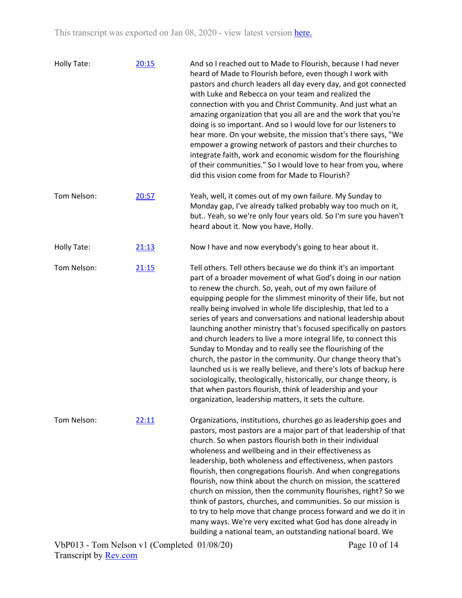| <b>Holly Tate:</b> | 20:15 | And so I reached out to Made to Flourish, because I had never<br>heard of Made to Flourish before, even though I work with<br>pastors and church leaders all day every day, and got connected<br>with Luke and Rebecca on your team and realized the<br>connection with you and Christ Community. And just what an<br>amazing organization that you all are and the work that you're<br>doing is so important. And so I would love for our listeners to<br>hear more. On your website, the mission that's there says, "We<br>empower a growing network of pastors and their churches to<br>integrate faith, work and economic wisdom for the flourishing<br>of their communities." So I would love to hear from you, where<br>did this vision come from for Made to Flourish?                                                                                                                                                                |
|--------------------|-------|----------------------------------------------------------------------------------------------------------------------------------------------------------------------------------------------------------------------------------------------------------------------------------------------------------------------------------------------------------------------------------------------------------------------------------------------------------------------------------------------------------------------------------------------------------------------------------------------------------------------------------------------------------------------------------------------------------------------------------------------------------------------------------------------------------------------------------------------------------------------------------------------------------------------------------------------|
| Tom Nelson:        | 20:57 | Yeah, well, it comes out of my own failure. My Sunday to<br>Monday gap, I've already talked probably way too much on it,<br>but Yeah, so we're only four years old. So I'm sure you haven't<br>heard about it. Now you have, Holly.                                                                                                                                                                                                                                                                                                                                                                                                                                                                                                                                                                                                                                                                                                          |
| <b>Holly Tate:</b> | 21:13 | Now I have and now everybody's going to hear about it.                                                                                                                                                                                                                                                                                                                                                                                                                                                                                                                                                                                                                                                                                                                                                                                                                                                                                       |
| Tom Nelson:        | 21:15 | Tell others. Tell others because we do think it's an important<br>part of a broader movement of what God's doing in our nation<br>to renew the church. So, yeah, out of my own failure of<br>equipping people for the slimmest minority of their life, but not<br>really being involved in whole life discipleship, that led to a<br>series of years and conversations and national leadership about<br>launching another ministry that's focused specifically on pastors<br>and church leaders to live a more integral life, to connect this<br>Sunday to Monday and to really see the flourishing of the<br>church, the pastor in the community. Our change theory that's<br>launched us is we really believe, and there's lots of backup here<br>sociologically, theologically, historically, our change theory, is<br>that when pastors flourish, think of leadership and your<br>organization, leadership matters, it sets the culture. |
| Tom Nelson:        | 22:11 | Organizations, institutions, churches go as leadership goes and<br>pastors, most pastors are a major part of that leadership of that<br>church. So when pastors flourish both in their individual<br>wholeness and wellbeing and in their effectiveness as<br>leadership, both wholeness and effectiveness, when pastors<br>flourish, then congregations flourish. And when congregations<br>flourish, now think about the church on mission, the scattered<br>church on mission, then the community flourishes, right? So we<br>think of pastors, churches, and communities. So our mission is<br>to try to help move that change process forward and we do it in<br>many ways. We're very excited what God has done already in<br>building a national team, an outstanding national board. We                                                                                                                                              |

Page 10 of 14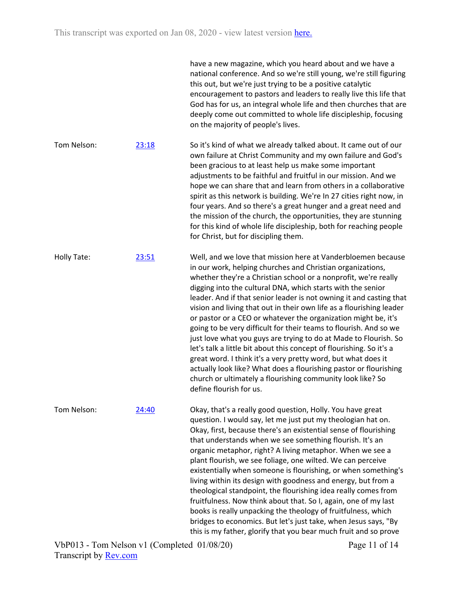|             |       | have a new magazine, which you heard about and we have a<br>national conference. And so we're still young, we're still figuring<br>this out, but we're just trying to be a positive catalytic<br>encouragement to pastors and leaders to really live this life that<br>God has for us, an integral whole life and then churches that are<br>deeply come out committed to whole life discipleship, focusing<br>on the majority of people's lives.                                                                                                                                                                                                                                                                                                                                                                                                                                                                              |
|-------------|-------|-------------------------------------------------------------------------------------------------------------------------------------------------------------------------------------------------------------------------------------------------------------------------------------------------------------------------------------------------------------------------------------------------------------------------------------------------------------------------------------------------------------------------------------------------------------------------------------------------------------------------------------------------------------------------------------------------------------------------------------------------------------------------------------------------------------------------------------------------------------------------------------------------------------------------------|
| Tom Nelson: | 23:18 | So it's kind of what we already talked about. It came out of our<br>own failure at Christ Community and my own failure and God's<br>been gracious to at least help us make some important<br>adjustments to be faithful and fruitful in our mission. And we<br>hope we can share that and learn from others in a collaborative<br>spirit as this network is building. We're In 27 cities right now, in<br>four years. And so there's a great hunger and a great need and<br>the mission of the church, the opportunities, they are stunning<br>for this kind of whole life discipleship, both for reaching people<br>for Christ, but for discipling them.                                                                                                                                                                                                                                                                     |
| Holly Tate: | 23:51 | Well, and we love that mission here at Vanderbloemen because<br>in our work, helping churches and Christian organizations,<br>whether they're a Christian school or a nonprofit, we're really<br>digging into the cultural DNA, which starts with the senior<br>leader. And if that senior leader is not owning it and casting that<br>vision and living that out in their own life as a flourishing leader<br>or pastor or a CEO or whatever the organization might be, it's<br>going to be very difficult for their teams to flourish. And so we<br>just love what you guys are trying to do at Made to Flourish. So<br>let's talk a little bit about this concept of flourishing. So it's a<br>great word. I think it's a very pretty word, but what does it<br>actually look like? What does a flourishing pastor or flourishing<br>church or ultimately a flourishing community look like? So<br>define flourish for us. |
| Tom Nelson: | 24:40 | Okay, that's a really good question, Holly. You have great<br>question. I would say, let me just put my theologian hat on.<br>Okay, first, because there's an existential sense of flourishing<br>that understands when we see something flourish. It's an<br>organic metaphor, right? A living metaphor. When we see a<br>plant flourish, we see foliage, one wilted. We can perceive<br>existentially when someone is flourishing, or when something's<br>living within its design with goodness and energy, but from a<br>theological standpoint, the flourishing idea really comes from<br>fruitfulness. Now think about that. So I, again, one of my last<br>books is really unpacking the theology of fruitfulness, which<br>bridges to economics. But let's just take, when Jesus says, "By<br>this is my father, glorify that you bear much fruit and so prove                                                        |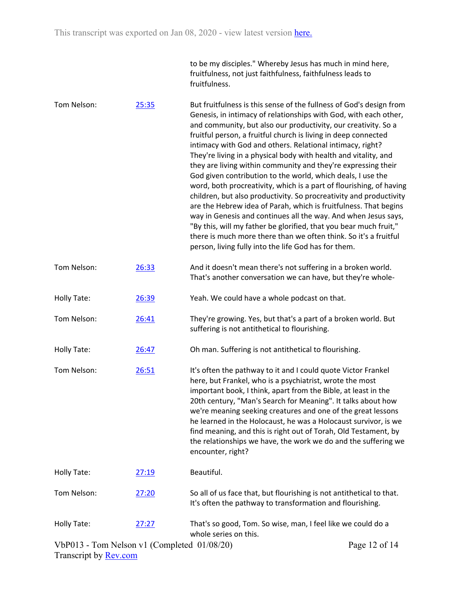| to be my disciples." Whereby Jesus has much in mind here,  |
|------------------------------------------------------------|
| fruitfulness, not just faithfulness, faithfulness leads to |
| fruitfulness.                                              |

| Tom Nelson: | 25:35 | But fruitfulness is this sense of the fullness of God's design from<br>Genesis, in intimacy of relationships with God, with each other,<br>and community, but also our productivity, our creativity. So a<br>fruitful person, a fruitful church is living in deep connected<br>intimacy with God and others. Relational intimacy, right?<br>They're living in a physical body with health and vitality, and<br>they are living within community and they're expressing their<br>God given contribution to the world, which deals, I use the<br>word, both procreativity, which is a part of flourishing, of having<br>children, but also productivity. So procreativity and productivity<br>are the Hebrew idea of Parah, which is fruitfulness. That begins<br>way in Genesis and continues all the way. And when Jesus says,<br>"By this, will my father be glorified, that you bear much fruit,"<br>there is much more there than we often think. So it's a fruitful<br>person, living fully into the life God has for them. |
|-------------|-------|---------------------------------------------------------------------------------------------------------------------------------------------------------------------------------------------------------------------------------------------------------------------------------------------------------------------------------------------------------------------------------------------------------------------------------------------------------------------------------------------------------------------------------------------------------------------------------------------------------------------------------------------------------------------------------------------------------------------------------------------------------------------------------------------------------------------------------------------------------------------------------------------------------------------------------------------------------------------------------------------------------------------------------|
| Tom Nelson: | 26:33 | And it doesn't mean there's not suffering in a broken world.<br>That's another conversation we can have, but they're whole-                                                                                                                                                                                                                                                                                                                                                                                                                                                                                                                                                                                                                                                                                                                                                                                                                                                                                                     |
| Holly Tate: | 26:39 | Yeah. We could have a whole podcast on that.                                                                                                                                                                                                                                                                                                                                                                                                                                                                                                                                                                                                                                                                                                                                                                                                                                                                                                                                                                                    |
| Tom Nelson: | 26:41 | They're growing. Yes, but that's a part of a broken world. But<br>suffering is not antithetical to flourishing.                                                                                                                                                                                                                                                                                                                                                                                                                                                                                                                                                                                                                                                                                                                                                                                                                                                                                                                 |
| Holly Tate: | 26:47 | Oh man. Suffering is not antithetical to flourishing.                                                                                                                                                                                                                                                                                                                                                                                                                                                                                                                                                                                                                                                                                                                                                                                                                                                                                                                                                                           |
| Tom Nelson: | 26:51 | It's often the pathway to it and I could quote Victor Frankel<br>here, but Frankel, who is a psychiatrist, wrote the most<br>important book, I think, apart from the Bible, at least in the<br>20th century, "Man's Search for Meaning". It talks about how<br>we're meaning seeking creatures and one of the great lessons<br>he learned in the Holocaust, he was a Holocaust survivor, is we<br>find meaning, and this is right out of Torah, Old Testament, by<br>the relationships we have, the work we do and the suffering we<br>encounter, right?                                                                                                                                                                                                                                                                                                                                                                                                                                                                        |
| Holly Tate: | 27:19 | Beautiful.                                                                                                                                                                                                                                                                                                                                                                                                                                                                                                                                                                                                                                                                                                                                                                                                                                                                                                                                                                                                                      |
| Tom Nelson: | 27:20 | So all of us face that, but flourishing is not antithetical to that.<br>It's often the pathway to transformation and flourishing.                                                                                                                                                                                                                                                                                                                                                                                                                                                                                                                                                                                                                                                                                                                                                                                                                                                                                               |
| Holly Tate: | 27:27 | That's so good, Tom. So wise, man, I feel like we could do a<br>whole series on this.                                                                                                                                                                                                                                                                                                                                                                                                                                                                                                                                                                                                                                                                                                                                                                                                                                                                                                                                           |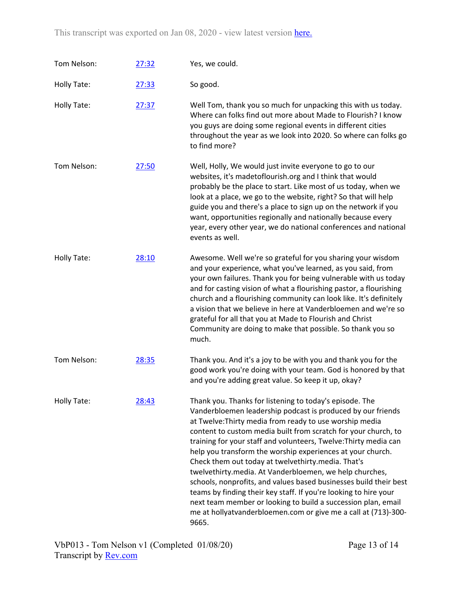This transcript was exported on Jan 08, 2020 - view latest version [here.](https://www.rev.com/transcript-editor/Edit?token=EFx7MhlRIgi65qjg2aF8HV1NCMj83Exb94T-xhBqxGN7vH46yhkSnJKK-HSPfeCE4A10cx9TA8RvGCL7qE8y24FgV04&loadFrom=DocumentHeaderDeepLink)

| Tom Nelson: | 27:32 | Yes, we could.                                                                                                                                                                                                                                                                                                                                                                                                                                                                                                                                                                                                                                                                                                                                                                              |
|-------------|-------|---------------------------------------------------------------------------------------------------------------------------------------------------------------------------------------------------------------------------------------------------------------------------------------------------------------------------------------------------------------------------------------------------------------------------------------------------------------------------------------------------------------------------------------------------------------------------------------------------------------------------------------------------------------------------------------------------------------------------------------------------------------------------------------------|
| Holly Tate: | 27:33 | So good.                                                                                                                                                                                                                                                                                                                                                                                                                                                                                                                                                                                                                                                                                                                                                                                    |
| Holly Tate: | 27:37 | Well Tom, thank you so much for unpacking this with us today.<br>Where can folks find out more about Made to Flourish? I know<br>you guys are doing some regional events in different cities<br>throughout the year as we look into 2020. So where can folks go<br>to find more?                                                                                                                                                                                                                                                                                                                                                                                                                                                                                                            |
| Tom Nelson: | 27:50 | Well, Holly, We would just invite everyone to go to our<br>websites, it's madetoflourish.org and I think that would<br>probably be the place to start. Like most of us today, when we<br>look at a place, we go to the website, right? So that will help<br>guide you and there's a place to sign up on the network if you<br>want, opportunities regionally and nationally because every<br>year, every other year, we do national conferences and national<br>events as well.                                                                                                                                                                                                                                                                                                             |
| Holly Tate: | 28:10 | Awesome. Well we're so grateful for you sharing your wisdom<br>and your experience, what you've learned, as you said, from<br>your own failures. Thank you for being vulnerable with us today<br>and for casting vision of what a flourishing pastor, a flourishing<br>church and a flourishing community can look like. It's definitely<br>a vision that we believe in here at Vanderbloemen and we're so<br>grateful for all that you at Made to Flourish and Christ<br>Community are doing to make that possible. So thank you so<br>much.                                                                                                                                                                                                                                               |
| Tom Nelson: | 28:35 | Thank you. And it's a joy to be with you and thank you for the<br>good work you're doing with your team. God is honored by that<br>and you're adding great value. So keep it up, okay?                                                                                                                                                                                                                                                                                                                                                                                                                                                                                                                                                                                                      |
| Holly Tate: | 28:43 | Thank you. Thanks for listening to today's episode. The<br>Vanderbloemen leadership podcast is produced by our friends<br>at Twelve: Thirty media from ready to use worship media<br>content to custom media built from scratch for your church, to<br>training for your staff and volunteers, Twelve: Thirty media can<br>help you transform the worship experiences at your church.<br>Check them out today at twelvethirty.media. That's<br>twelvethirty.media. At Vanderbloemen, we help churches,<br>schools, nonprofits, and values based businesses build their best<br>teams by finding their key staff. If you're looking to hire your<br>next team member or looking to build a succession plan, email<br>me at hollyatvanderbloemen.com or give me a call at (713)-300-<br>9665. |